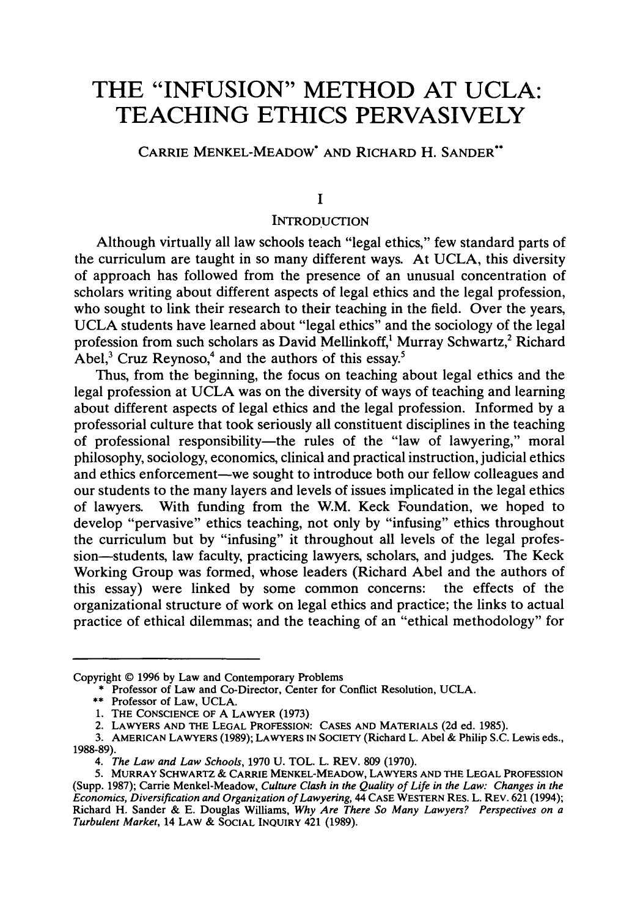# **THE "INFUSION" METHOD AT UCLA: TEACHING ETHICS PERVASIVELY**

**CARRIE MENKEL-MEADOW\* AND RICHARD H. SANDER\*\***

#### **I**

### **INTRODUCTION**

Although virtually all law schools teach "legal ethics," few standard parts of the curriculum are taught in so many different ways. At UCLA, this diversity of approach has followed from the presence of an unusual concentration of scholars writing about different aspects of legal ethics and the legal profession, who sought to link their research to their teaching in the field. Over the years, UCLA students have learned about "legal ethics" and the sociology of the legal profession from such scholars as David Mellinkoff,<sup>1</sup> Murray Schwartz,<sup>2</sup> Richard Abel, $3$  Cruz Reynoso,<sup>4</sup> and the authors of this essay.<sup>5</sup>

Thus, from the beginning, the focus on teaching about legal ethics and the legal profession at UCLA was on the diversity of ways of teaching and learning about different aspects of legal ethics and the legal profession. Informed by a professorial culture that took seriously all constituent disciplines in the teaching of professional responsibility-the rules of the "law of lawyering," moral philosophy, sociology, economics, clinical and practical instruction, judicial ethics and ethics enforcement-we sought to introduce both our fellow colleagues and our students to the many layers and levels of issues implicated in the legal ethics of lawyers. With funding from the W.M. Keck Foundation, we hoped to develop "pervasive" ethics teaching, not only by "infusing" ethics throughout the curriculum but by "infusing" it throughout all levels of the legal profession-students, law faculty, practicing lawyers, scholars, and judges. The Keck Working Group was formed, whose leaders (Richard Abel and the authors of this essay) were linked by some common concerns: the effects of the organizational structure of work on legal ethics and practice; the links to actual practice of ethical dilemmas; and the teaching of an "ethical methodology" for

Copyright © 1996 by Law and Contemporary Problems

<sup>\*</sup> Professor of Law and Co-Director, Center for Conflict Resolution, UCLA.

<sup>\*\*</sup> Professor of Law, UCLA.

**<sup>1.</sup>** THE CONSCIENCE OF A LAWYER (1973)

<sup>2.</sup> LAWYERS **AND** THE **LEGAL** PROFESSION: CASES **AND** MATERIALS (2d ed. 1985).

<sup>3.</sup> **AMERICAN LAWYERS** (1989); LAWYERS IN SOCIETY (Richard L. Abel & Philip S.C. Lewis eds., 1988-89).

*<sup>4.</sup> The Law and Law Schools,* 1970 **U.** TOL. L. REV. 809 (1970).

<sup>5.</sup> MURRAY SCHWARTZ **& CARRIE** MENKEL-MEADOW, **LAWYERS AND THE LEGAL** PROFESSION (Supp. 1987); Carrie Menkel-Meadow, *Culture Clash in the Quality of Life in the Law: Changes in the Economics, Diversification and Organization of Lawyering,* 44 CASE WESTERN RES. L. REV. 621 (1994); Richard H. Sander & E. Douglas Williams, *Why Are There So Many Lawyers? Perspectives on a Turbulent Market,* 14 LAW & SOCIAL **INQUIRY** 421 (1989).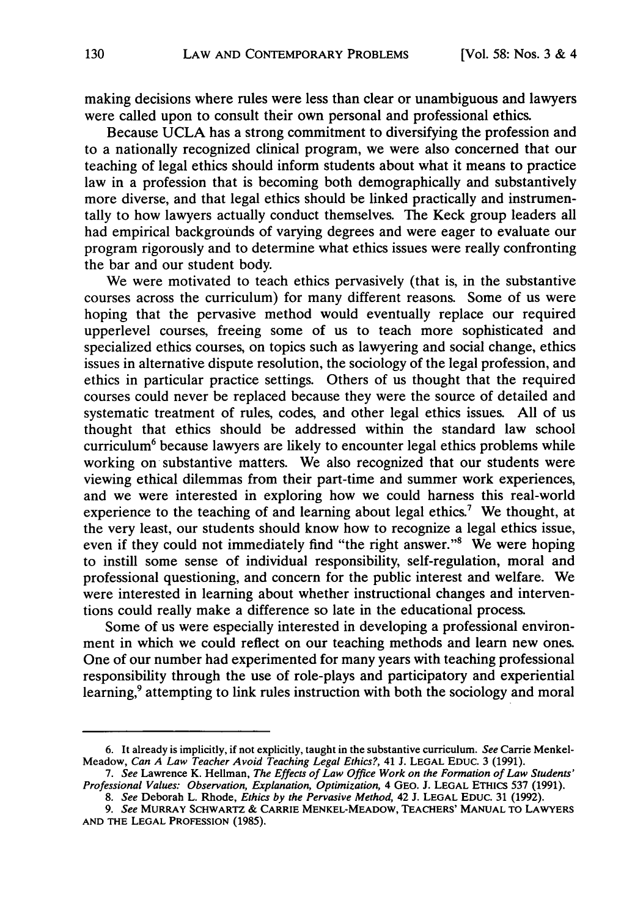making decisions where rules were less than clear or unambiguous and lawyers were called upon to consult their own personal and professional ethics.

Because UCLA has a strong commitment to diversifying the profession and to a nationally recognized clinical program, we were also concerned that our teaching of legal ethics should inform students about what it means to practice law in a profession that is becoming both demographically and substantively more diverse, and that legal ethics should be linked practically and instrumentally to how lawyers actually conduct themselves. The Keck group leaders all had empirical backgrounds of varying degrees and were eager to evaluate our program rigorously and to determine what ethics issues were really confronting the bar and our student body.

We were motivated to teach ethics pervasively (that is, in the substantive courses across the curriculum) for many different reasons. Some of us were hoping that the pervasive method would eventually replace our required upperlevel courses, freeing some of us to teach more sophisticated and specialized ethics courses, on topics such as lawyering and social change, ethics issues in alternative dispute resolution, the sociology of the legal profession, and ethics in particular practice settings. Others of us thought that the required courses could never be replaced because they were the source of detailed and systematic treatment of rules, codes, and other legal ethics issues. All of us thought that ethics should be addressed within the standard law school curriculum<sup>6</sup> because lawyers are likely to encounter legal ethics problems while working on substantive matters. We also recognized that our students were viewing ethical dilemmas from their part-time and summer work experiences, and we were interested in exploring how we could harness this real-world experience to the teaching of and learning about legal ethics.<sup>7</sup> We thought, at the very least, our students should know how to recognize a legal ethics issue, even if they could not immediately find "the right answer."<sup>8</sup> We were hoping to instill some sense of individual responsibility, self-regulation, moral and professional questioning, and concern for the public interest and welfare. We were interested in learning about whether instructional changes and interventions could really make a difference so late in the educational process.

Some of us were especially interested in developing a professional environment in which we could reflect on our teaching methods and learn new ones. One of our number had experimented for many years with teaching professional responsibility through the use of role-plays and participatory and experiential learning,<sup>9</sup> attempting to link rules instruction with both the sociology and moral

**<sup>6.</sup>** It already is implicitly, if not explicitly, taught in the substantive curriculum. *See* Carrie Menkel-Meadow, *Can A Law Teacher Avoid Teaching Legal Ethics?,* 41 **J. LEGAL** EDUC. 3 (1991).

*<sup>7.</sup> See* Lawrence K. Hellman, *The Effects of Law Office Work on the Formation of Law Students' Professional Values: Observation, Explanation, Optimization,* 4 GEO. J. **LEGAL ETHICS** 537 (1991).

*<sup>8.</sup> See* Deborah L. Rhode, *Ethics by the Pervasive Method,* 42 J. LEGAL EDUC. 31 (1992).

*<sup>9.</sup> See* MURRAY SCHWARTZ **& CARRIE** MENKEL-MEADOW, **TEACHERS' MANUAL** TO **LAWYERS AND** THE **LEGAL PROFESSION** (1985).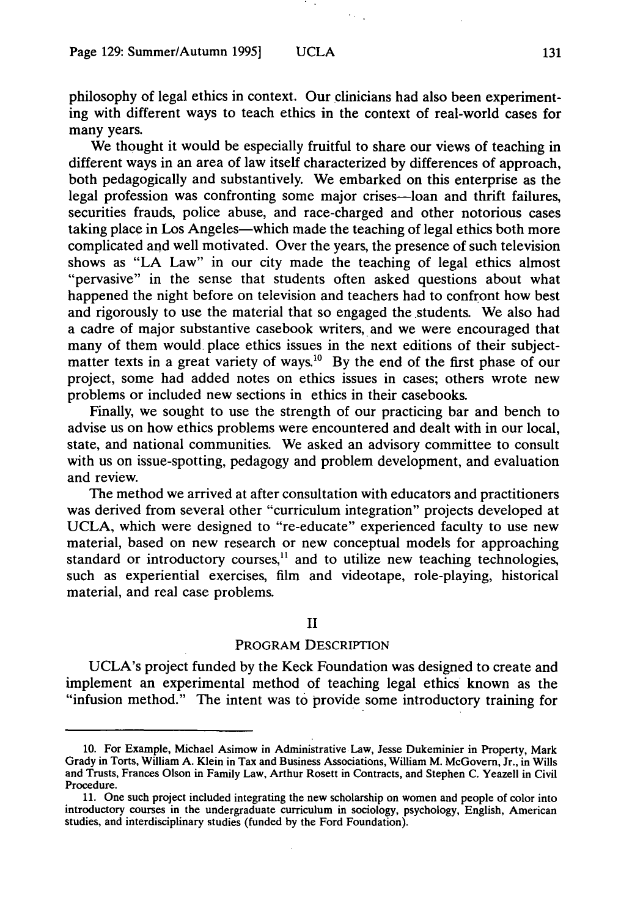philosophy of legal ethics in context. Our clinicians had also been experimenting with different ways to teach ethics in the context of real-world cases for many years.

We thought it would be especially fruitful to share our views of teaching in different ways in an area of law itself characterized by differences of approach, both pedagogically and substantively. We embarked on this enterprise as the legal profession was confronting some major crises-loan and thrift failures, securities frauds, police abuse, and race-charged and other notorious cases taking place in Los Angeles-which made the teaching of legal ethics both more complicated and well motivated. Over the years, the presence of such television shows as **"LA** Law" in our city made the teaching of legal ethics almost "pervasive" in the sense that students often asked questions about what happened the night before on television and teachers had to confront how best and rigorously to use the material that so engaged the students. We also had a cadre of major substantive casebook writers, and we were encouraged that many of them would place ethics issues in the next editions of their subjectmatter texts in a great variety of ways.<sup>10</sup> By the end of the first phase of our project, some had added notes on ethics issues in cases; others wrote new problems or included new sections in ethics in their casebooks.

Finally, we sought to use the strength of our practicing bar and bench to advise us on how ethics problems were encountered and dealt with in our local, state, and national communities. We asked an advisory committee to consult with us on issue-spotting, pedagogy and problem development, and evaluation and review.

The method we arrived at after consultation with educators and practitioners was derived from several other "curriculum integration" projects developed at UCLA, which were designed to "re-educate" experienced faculty to use new material, based on new research or new conceptual models for approaching standard or introductory courses,<sup>11</sup> and to utilize new teaching technologies, such as experiential exercises, film and videotape, role-playing, historical material, and real case problems.

II

# PROGRAM DESCRIPTION

UCLA's project funded by the Keck Foundation was designed to create and implement an experimental method of teaching legal ethics known as the "infusion method." The intent was to provide some introductory training for

<sup>10.</sup> For Example, Michael Asimow in Administrative Law, Jesse Dukeminier in Property, Mark Grady in Torts, William A. Klein in Tax and Business Associations, William M. McGovern, Jr., in Wills and Trusts, Frances Olson in Family Law, Arthur Rosett in Contracts, and Stephen C. Yeazell in Civil Procedure.

<sup>11.</sup> One such project included integrating the new scholarship on women and people of color into introductory courses in the undergraduate curriculum in sociology, psychology, English, American studies, and interdisciplinary studies (funded by the Ford Foundation).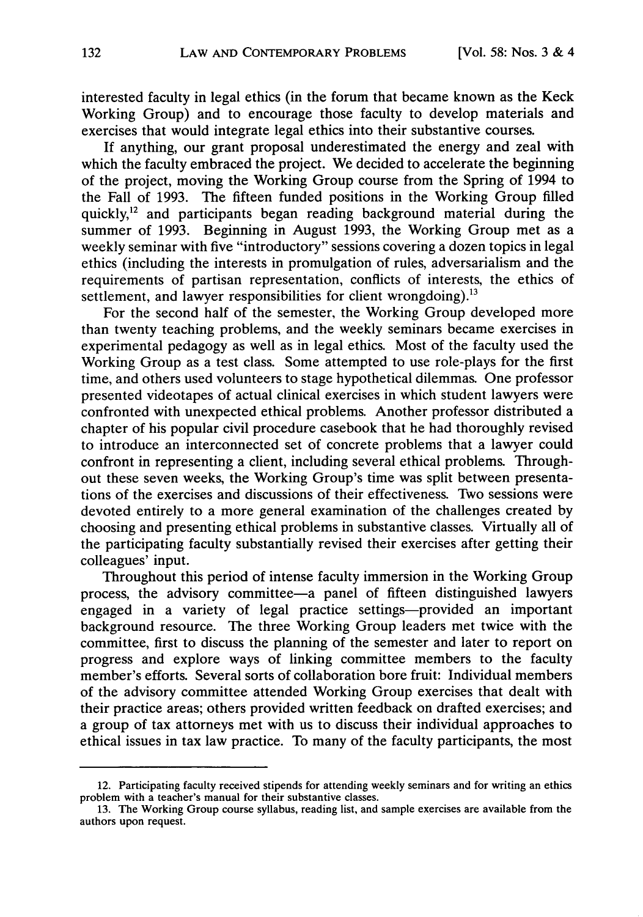interested faculty in legal ethics (in the forum that became known as the Keck Working Group) and to encourage those faculty to develop materials and exercises that would integrate legal ethics into their substantive courses.

If anything, our grant proposal underestimated the energy and zeal with which the faculty embraced the project. We decided to accelerate the beginning of the project, moving the Working Group course from the Spring of 1994 to the Fall of 1993. The fifteen funded positions in the Working Group filled quickly,<sup>12</sup> and participants began reading background material during the summer of 1993. Beginning in August 1993, the Working Group met as a weekly seminar with five "introductory" sessions covering a dozen topics in legal ethics (including the interests in promulgation of rules, adversarialism and the requirements of partisan representation, conflicts of interests, the ethics of settlement, and lawyer responsibilities for client wrongdoing).<sup>13</sup>

For the second half of the semester, the Working Group developed more than twenty teaching problems, and the weekly seminars became exercises in experimental pedagogy as well as in legal ethics. Most of the faculty used the Working Group as a test class. Some attempted to use role-plays for the first time, and others used volunteers to stage hypothetical dilemmas. One professor presented videotapes of actual clinical exercises in which student lawyers were confronted with unexpected ethical problems. Another professor distributed a chapter of his popular civil procedure casebook that he had thoroughly revised to introduce an interconnected set of concrete problems that a lawyer could confront in representing a client, including several ethical problems. Throughout these seven weeks, the Working Group's time was split between presentations of the exercises and discussions of their effectiveness. Two sessions were devoted entirely to a more general examination of the challenges created by choosing and presenting ethical problems in substantive classes. Virtually all of the participating faculty substantially revised their exercises after getting their colleagues' input.

Throughout this period of intense faculty immersion in the Working Group process, the advisory committee-a panel of fifteen distinguished lawyers engaged in a variety of legal practice settings—provided an important background resource. The three Working Group leaders met twice with the committee, first to discuss the planning of the semester and later to report on progress and explore ways of linking committee members to the faculty member's efforts. Several sorts of collaboration bore fruit: Individual members of the advisory committee attended Working Group exercises that dealt with their practice areas; others provided written feedback on drafted exercises; and a group of tax attorneys met with us to discuss their individual approaches to ethical issues in tax law practice. To many of the faculty participants, the most

<sup>12.</sup> Participating faculty received stipends for attending weekly seminars and for writing an ethics problem with a teacher's manual for their substantive classes.

<sup>13.</sup> The Working Group course syllabus, reading list, and sample exercises are available from the authors upon request.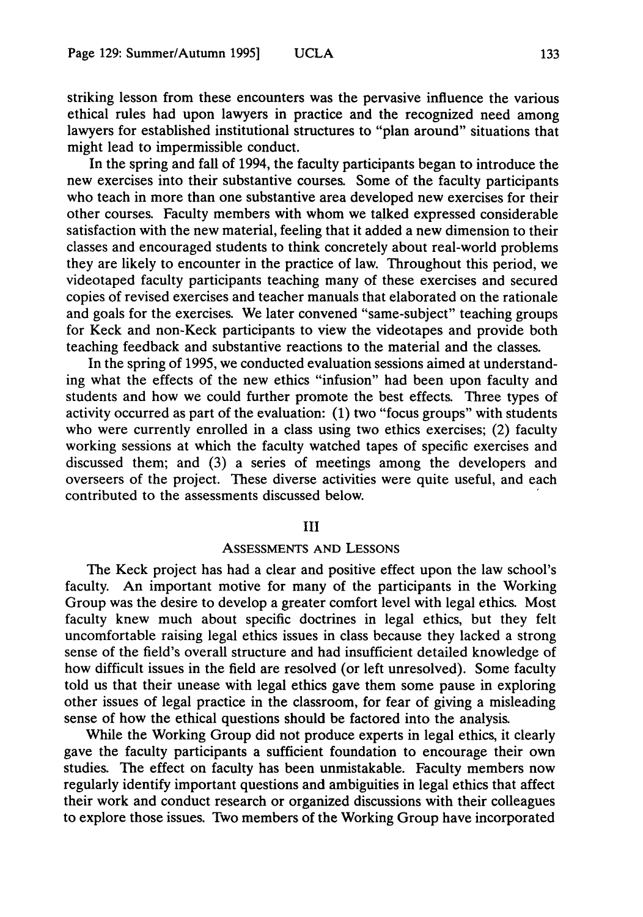striking lesson from these encounters was the pervasive influence the various ethical rules had upon lawyers in practice and the recognized need among lawyers for established institutional structures to "plan around" situations that might lead to impermissible conduct.

In the spring and fall of 1994, the faculty participants began to introduce the new exercises into their substantive courses. Some of the faculty participants who teach in more than one substantive area developed new exercises for their other courses. Faculty members with whom we talked expressed considerable satisfaction with the new material, feeling that it added a new dimension to their classes and encouraged students to think concretely about real-world problems they are likely to encounter in the practice of law. Throughout this period, we videotaped faculty participants teaching many of these exercises and secured copies of revised exercises and teacher manuals that elaborated on the rationale and goals for the exercises. We later convened "same-subject" teaching groups for Keck and non-Keck participants to view the videotapes and provide both teaching feedback and substantive reactions to the material and the classes.

In the spring of 1995, we conducted evaluation sessions aimed at understanding what the effects of the new ethics "infusion" had been upon faculty and students and how we could further promote the best effects. Three types of activity occurred as part of the evaluation: (1) two "focus groups" with students who were currently enrolled in a class using two ethics exercises; (2) faculty working sessions at which the faculty watched tapes of specific exercises and discussed them; and (3) a series of meetings among the developers and overseers of the project. These diverse activities were quite useful, and each contributed to the assessments discussed below.

#### III

#### ASSESSMENTS **AND LESSONS**

The Keck project has had a clear and positive effect upon the law school's faculty. An important motive for many of the participants in the Working Group was the desire to develop a greater comfort level with legal ethics. Most faculty knew much about specific doctrines in legal ethics, but they felt uncomfortable raising legal ethics issues in class because they lacked a strong sense of the field's overall structure and had insufficient detailed knowledge of how difficult issues in the field are resolved (or left unresolved). Some faculty told us that their unease with legal ethics gave them some pause in exploring other issues of legal practice in the classroom, for fear of giving a misleading sense of how the ethical questions should be factored into the analysis.

While the Working Group did not produce experts in legal ethics, it clearly gave the faculty participants a sufficient foundation to encourage their own studies. The effect on faculty has been unmistakable. Faculty members now regularly identify important questions and ambiguities in legal ethics that affect their work and conduct research or organized discussions with their colleagues to explore those issues. Two members of the Working Group have incorporated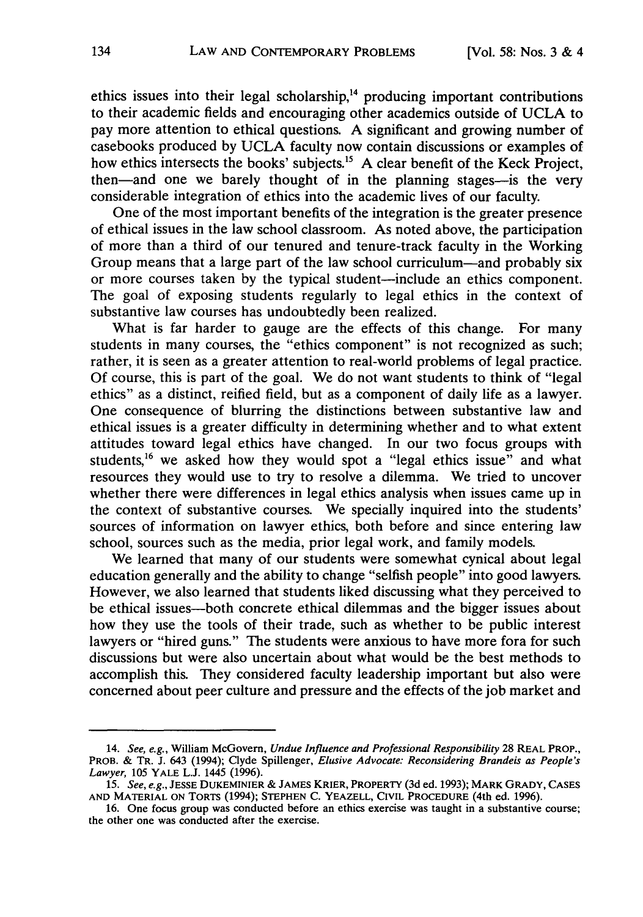ethics issues into their legal scholarship,<sup>14</sup> producing important contributions to their academic fields and encouraging other academics outside of UCLA to pay more attention to ethical questions. A significant and growing number of casebooks produced by UCLA faculty now contain discussions or examples of how ethics intersects the books' subjects.<sup>15</sup> A clear benefit of the Keck Project, then-and one we barely thought of in the planning stages-is the very considerable integration of ethics into the academic lives of our faculty.

One of the most important benefits of the integration is the greater presence of ethical issues in the law school classroom. As noted above, the participation of more than a third of our tenured and tenure-track faculty in the Working Group means that a large part of the law school curriculum—and probably six or more courses taken by the typical student-include an ethics component. The goal of exposing students regularly to legal ethics in the context of substantive law courses has undoubtedly been realized.

What is far harder to gauge are the effects of this change. For many students in many courses, the "ethics component" is not recognized as such; rather, it is seen as a greater attention to real-world problems of legal practice. Of course, this is part of the goal. We do not want students to think of "legal ethics" as a distinct, reified field, but as a component of daily life as a lawyer. One consequence of blurring the distinctions between substantive law and ethical issues is a greater difficulty in determining whether and to what extent attitudes toward legal ethics have changed. In our two focus groups with students,  $16$  we asked how they would spot a "legal ethics issue" and what resources they would use to try to resolve a dilemma. We tried to uncover whether there were differences in legal ethics analysis when issues came up in the context of substantive courses. We specially inquired into the students' sources of information on lawyer ethics, both before and since entering law school, sources such as the media, prior legal work, and family models.

We learned that many of our students were somewhat cynical about legal education generally and the ability to change "selfish people" into good lawyers. However, we also learned that students liked discussing what they perceived to be ethical issues-both concrete ethical dilemmas and the bigger issues about how they use the tools of their trade, such as whether to be public interest lawyers or "hired guns." The students were anxious to have more fora for such discussions but were also uncertain about what would be the best methods to accomplish this. They considered faculty leadership important but also were concerned about peer culture and pressure and the effects of the job market and

<sup>14.</sup> *See, e.g.,* William McGovern, *Undue Influence and Professional Responsibility* 28 REAL PROP., PROB. & TR. J. 643 (1994); Clyde Spillenger, *Elusive Advocate: Reconsidering Brandeis as People's Lawyer, 105* YALE L.J. 1445 (1996).

*<sup>15.</sup> See, e.g.,* **JESSE DUKEMINIER** & JAMES KRIER, PROPERTY (3d ed. **1993); MARK** GRADY, **CASES AND** MATERIAL **ON** TORTS (1994); **STEPHEN** C. YEAZELL, CIVIL PROCEDURE (4th ed. 1996).

<sup>16.</sup> One focus group was conducted before an ethics exercise was taught in a substantive course; the other one was conducted after the exercise.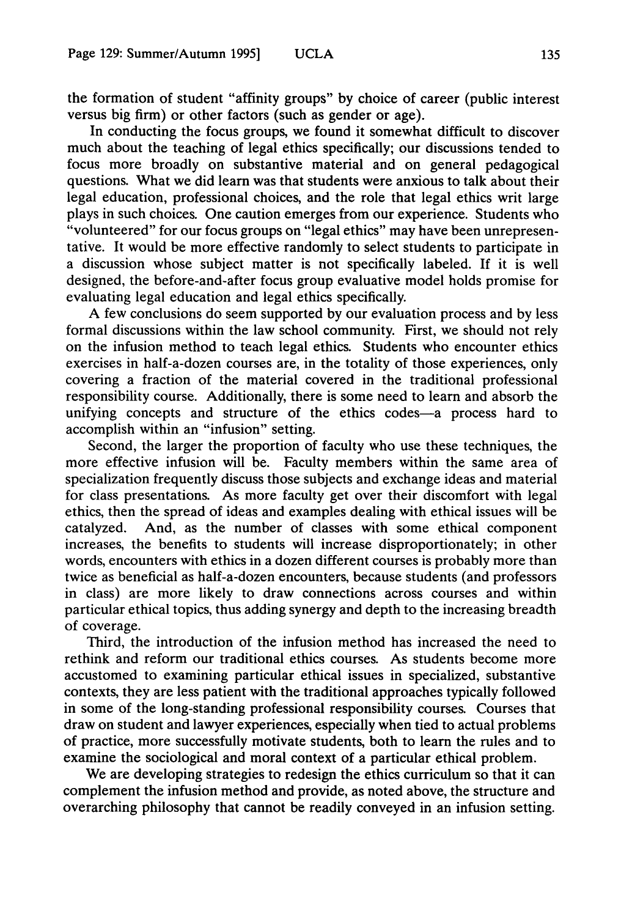the formation of student "affinity groups" by choice of career (public interest versus big firm) or other factors (such as gender or age).

In conducting the focus groups, we found it somewhat difficult to discover much about the teaching of legal ethics specifically; our discussions tended to focus more broadly on substantive material and on general pedagogical questions. What we did learn was that students were anxious to talk about their legal education, professional choices, and the role that legal ethics writ large plays in such choices. One caution emerges from our experience. Students who "volunteered" for our focus groups on "legal ethics" may have been unrepresentative. It would be more effective randomly to select students to participate in a discussion whose subject matter is not specifically labeled. If it is well designed, the before-and-after focus group evaluative model holds promise for evaluating legal education and legal ethics specifically.

A few conclusions do seem supported by our evaluation process and by less formal discussions within the law school community. First, we should not rely on the infusion method to teach legal ethics. Students who encounter ethics exercises in half-a-dozen courses are, in the totality of those experiences, only covering a fraction of the material covered in the traditional professional responsibility course. Additionally, there is some need to learn and absorb the unifying concepts and structure of the ethics codes-a process hard to accomplish within an "infusion" setting.

Second, the larger the proportion of faculty who use these techniques, the more effective infusion will be. Faculty members within the same area of specialization frequently discuss those subjects and exchange ideas and material for class presentations. As more faculty get over their discomfort with legal ethics, then the spread of ideas and examples dealing with ethical issues will be catalyzed. And, as the number of classes with some ethical component increases, the benefits to students will increase disproportionately; in other words, encounters with ethics in a dozen different courses is probably more than twice as beneficial as half-a-dozen encounters, because students (and professors in class) are more likely to draw connections across courses and within particular ethical topics, thus adding synergy and depth to the increasing breadth of coverage.

Third, the introduction of the infusion method has increased the need to rethink and reform our traditional ethics courses. As students become more accustomed to examining particular ethical issues in specialized, substantive contexts, they are less patient with the traditional approaches typically followed in some of the long-standing professional responsibility courses. Courses that draw on student and lawyer experiences, especially when tied to actual problems of practice, more successfully motivate students, both to learn the rules and to examine the sociological and moral context of a particular ethical problem.

We are developing strategies to redesign the ethics curriculum so that it can complement the infusion method and provide, as noted above, the structure and overarching philosophy that cannot be readily conveyed in an infusion setting.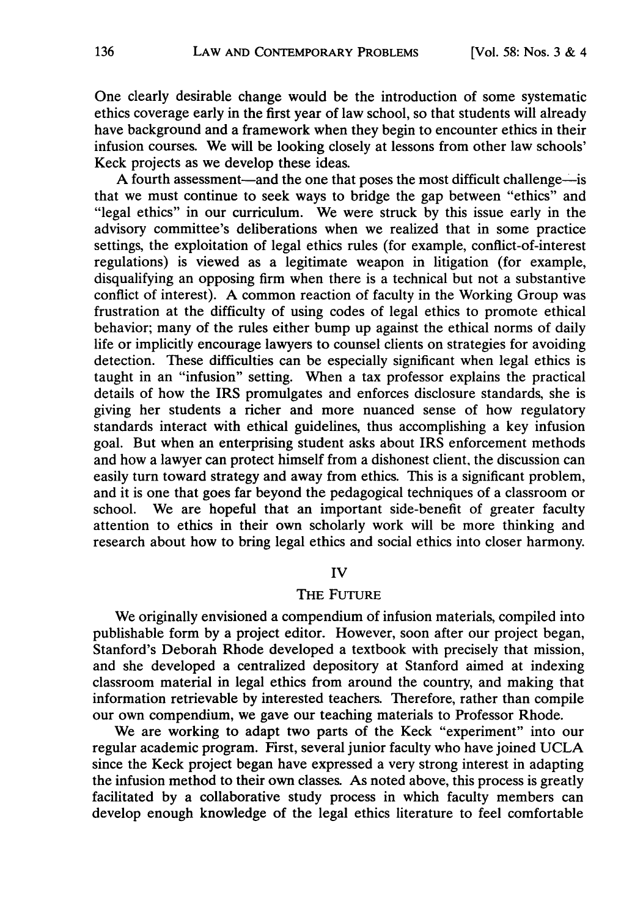One clearly desirable change would be the introduction of some systematic ethics coverage early in the first year of law school, so that students will already have background and a framework when they begin to encounter ethics in their infusion courses. We will be looking closely at lessons from other law schools' Keck projects as we develop these ideas.

A fourth assessment-and the one that poses the most difficult challenge-is that we must continue to seek ways to bridge the gap between "ethics" and "legal ethics" in our curriculum. We were struck by this issue early in the advisory committee's deliberations when we realized that in some practice settings, the exploitation of legal ethics rules (for example, conflict-of-interest regulations) is viewed as a legitimate weapon in litigation (for example, disqualifying an opposing firm when there is a technical but not a substantive conflict of interest). A common reaction of faculty in the Working Group was frustration at the difficulty of using codes of legal ethics to promote ethical behavior; many of the rules either bump up against the ethical norms of daily life or implicitly encourage lawyers to counsel clients on strategies for avoiding detection. These difficulties can be especially significant when legal ethics is taught in an "infusion" setting. When a tax professor explains the practical details of how the IRS promulgates and enforces disclosure standards, she is giving her students a richer and more nuanced sense of how regulatory standards interact with ethical guidelines, thus accomplishing a key infusion goal. But when an enterprising student asks about IRS enforcement methods and how a lawyer can protect himself from a dishonest client, the discussion can easily turn toward strategy and away from ethics. This is a significant problem, and it is one that goes far beyond the pedagogical techniques of a classroom or school. We are hopeful that an important side-benefit of greater faculty attention to ethics in their own scholarly work will be more thinking and research about how to bring legal ethics and social ethics into closer harmony.

#### IV

## THE FUTURE

We originally envisioned a compendium of infusion materials, compiled into publishable form by a project editor. However, soon after our project began, Stanford's Deborah Rhode developed a textbook with precisely that mission, and she developed a centralized depository at Stanford aimed at indexing classroom material in legal ethics from around the country, and making that information retrievable by interested teachers. Therefore, rather than compile our own compendium, we gave our teaching materials to Professor Rhode.

We are working to adapt two parts of the Keck "experiment" into our regular academic program. First, several junior faculty who have joined UCLA since the Keck project began have expressed a very strong interest in adapting the infusion method to their own classes. As noted above, this process is greatly facilitated by a collaborative study process in which faculty members can develop enough knowledge of the legal ethics literature to feel comfortable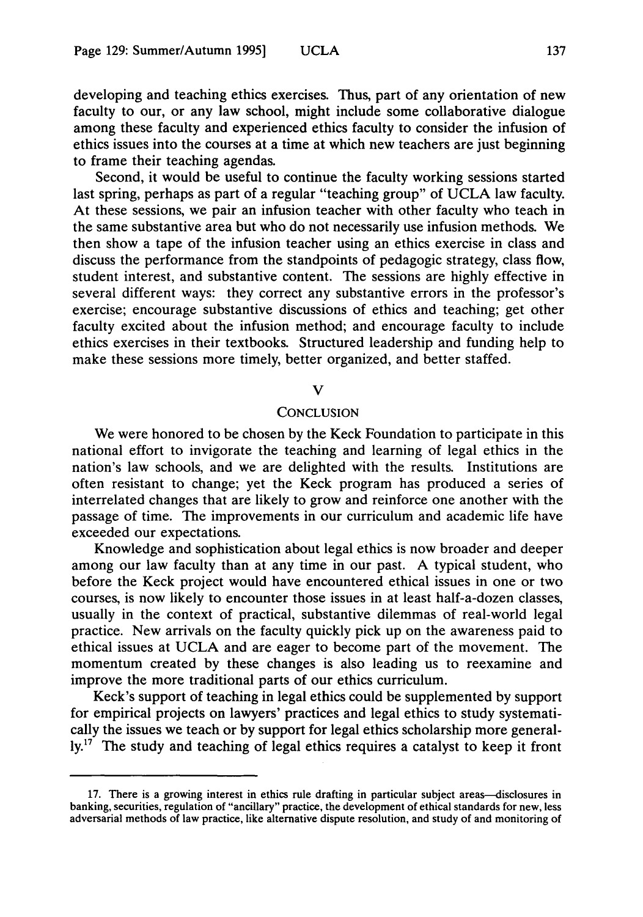developing and teaching ethics exercises. Thus, part of any orientation of new faculty to our, or any law school, might include some collaborative dialogue among these faculty and experienced ethics faculty to consider the infusion of ethics issues into the courses at a time at which new teachers are just beginning to frame their teaching agendas.

Second, it would be useful to continue the faculty working sessions started last spring, perhaps as part of a regular "teaching group" of UCLA law faculty. At these sessions, we pair an infusion teacher with other faculty who teach in the same substantive area but who do not necessarily use infusion methods. We then show a tape of the infusion teacher using an ethics exercise in class and discuss the performance from the standpoints of pedagogic strategy, class flow, student interest, and substantive content. The sessions are highly effective in several different ways: they correct any substantive errors in the professor's exercise; encourage substantive discussions of ethics and teaching; get other faculty excited about the infusion method; and encourage faculty to include ethics exercises in their textbooks. Structured leadership and funding help to make these sessions more timely, better organized, and better staffed.

#### V

#### **CONCLUSION**

We were honored to be chosen by the Keck Foundation to participate in this national effort to invigorate the teaching and learning of legal ethics in the nation's law schools, and we are delighted with the results. Institutions are often resistant to change; yet the Keck program has produced a series of interrelated changes that are likely to grow and reinforce one another with the passage of time. The improvements in our curriculum and academic life have exceeded our expectations.

Knowledge and sophistication about legal ethics is now broader and deeper among our law faculty than at any time in our past. A typical student, who before the Keck project would have encountered ethical issues in one or two courses, is now likely to encounter those issues in at least half-a-dozen classes, usually in the context of practical, substantive dilemmas of real-world legal practice. New arrivals on the faculty quickly pick up on the awareness paid to ethical issues at UCLA and are eager to become part of the movement. The momentum created by these changes is also leading us to reexamine and improve the more traditional parts of our ethics curriculum.

Keck's support of teaching in legal ethics could be supplemented by support for empirical projects on lawyers' practices and legal ethics to study systematically the issues we teach or by support for legal ethics scholarship more general- $\mathbf{Iy}^{17}$ . The study and teaching of legal ethics requires a catalyst to keep it front

<sup>17.</sup> There is a growing interest in ethics rule drafting in particular subject areas-disclosures in banking, securities, regulation of "ancillary" practice, the development of ethical standards for new, less adversarial methods of law practice, like alternative dispute resolution, and study of and monitoring of